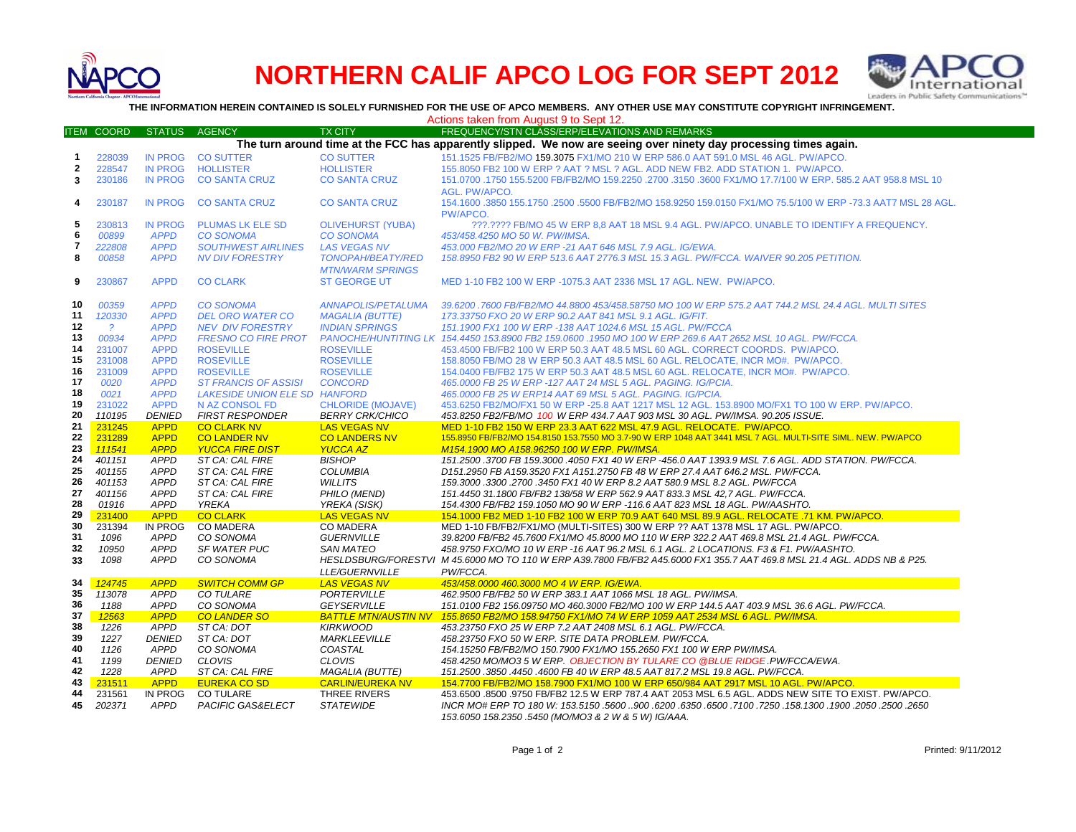

## **NORTHERN CALIF APCO LOG FOR SEPT 2012**



**THE INFORMATION HEREIN CONTAINED IS SOLELY FURNISHED FOR THE USE OF APCO MEMBERS. ANY OTHER USE MAY CONSTITUTE COPYRIGHT INFRINGEMENT.**

Actions taken from August 9 to Sept 12.

|                         | <b>ITEM COORD</b> | <b>STATUS</b>              | <b>AGENCY</b>                                       | <b>TX CITY</b>                                  | FREQUENCY/STN CLASS/ERP/ELEVATIONS AND REMARKS                                                                                                                             |
|-------------------------|-------------------|----------------------------|-----------------------------------------------------|-------------------------------------------------|----------------------------------------------------------------------------------------------------------------------------------------------------------------------------|
|                         |                   |                            |                                                     |                                                 | The turn around time at the FCC has apparently slipped. We now are seeing over ninety day processing times again.                                                          |
| 1                       | 228039            | <b>IN PROG</b>             | <b>CO SUTTER</b>                                    | <b>CO SUTTER</b>                                | 151.1525 FB/FB2/MO 159.3075 FX1/MO 210 W ERP 586.0 AAT 591.0 MSL 46 AGL. PW/APCO.                                                                                          |
| 2                       | 228547            | <b>IN PROG</b>             | <b>HOLLISTER</b>                                    | <b>HOLLISTER</b>                                | 155.8050 FB2 100 W ERP ? AAT ? MSL ? AGL. ADD NEW FB2. ADD STATION 1. PW/APCO.                                                                                             |
| 3                       | 230186            | <b>IN PROG</b>             | <b>CO SANTA CRUZ</b>                                | <b>CO SANTA CRUZ</b>                            | 151.0700 .1750 155.5200 FB/FB2/MO 159.2250 .2700 .3150 .3600 FX1/MO 17.7/100 W ERP. 585.2 AAT 958.8 MSL 10                                                                 |
|                         |                   |                            |                                                     |                                                 | AGL. PW/APCO.                                                                                                                                                              |
| 4                       | 230187            | <b>IN PROG</b>             | <b>CO SANTA CRUZ</b>                                | <b>CO SANTA CRUZ</b>                            | 154.1600 .3850 155.1750 .2500 .5500 FB/FB2/MO 158.9250 159.0150 FX1/MO 75.5/100 W ERP -73.3 AAT7 MSL 28 AGL.                                                               |
|                         |                   |                            |                                                     |                                                 | <b>PW/APCO</b>                                                                                                                                                             |
| 5                       | 230813            | <b>IN PROG</b>             | <b>PLUMAS LK ELE SD</b>                             | <b>OLIVEHURST (YUBA)</b>                        | ???.???? FB/MO 45 W ERP 8.8 AAT 18 MSL 9.4 AGL. PW/APCO. UNABLE TO IDENTIFY A FREQUENCY.                                                                                   |
| 6                       | 00899             | <b>APPD</b>                | <b>CO SONOMA</b>                                    | <b>CO SONOMA</b>                                | 453/458.4250 MO 50 W. PW/IMSA.                                                                                                                                             |
| $\overline{\mathbf{r}}$ |                   |                            |                                                     |                                                 |                                                                                                                                                                            |
| 8                       | 222808<br>00858   | <b>APPD</b><br><b>APPD</b> | <b>SOUTHWEST AIRLINES</b><br><b>NV DIV FORESTRY</b> | <b>LAS VEGAS NV</b><br><b>TONOPAH/BEATY/RED</b> | 453.000 FB2/MO 20 W ERP -21 AAT 646 MSL 7.9 AGL. IG/EWA.<br>158.8950 FB2 90 W ERP 513.6 AAT 2776.3 MSL 15.3 AGL, PW/FCCA, WAIVER 90.205 PETITION.                          |
|                         |                   |                            |                                                     |                                                 |                                                                                                                                                                            |
|                         |                   |                            |                                                     | <b>MTN/WARM SPRINGS</b>                         |                                                                                                                                                                            |
| 9                       | 230867            | <b>APPD</b>                | <b>CO CLARK</b>                                     | <b>ST GEORGE UT</b>                             | MED 1-10 FB2 100 W ERP -1075.3 AAT 2336 MSL 17 AGL, NEW. PW/APCO.                                                                                                          |
|                         |                   |                            |                                                     |                                                 |                                                                                                                                                                            |
| 10                      | 00359             | <b>APPD</b>                | <b>CO SONOMA</b>                                    | <b>ANNAPOLIS/PETALUMA</b>                       | 39.6200 .7600 FB/FB2/MO 44.8800 453/458.58750 MO 100 W ERP 575.2 AAT 744.2 MSL 24.4 AGL. MULTI SITES                                                                       |
| 11                      | 120330            | <b>APPD</b>                | <b>DEL ORO WATER CO</b>                             | <b>MAGALIA (BUTTE)</b>                          | 173.33750 FXO 20 W ERP 90.2 AAT 841 MSL 9.1 AGL. IG/FIT.                                                                                                                   |
| 12                      | $\overline{?}$    | <b>APPD</b>                | <b>NEV DIV FORESTRY</b>                             | <b>INDIAN SPRINGS</b>                           | 151.1900 FX1 100 W ERP -138 AAT 1024.6 MSL 15 AGL. PW/FCCA                                                                                                                 |
| 13                      | 00934             | <b>APPD</b>                | <b>FRESNO CO FIRE PROT</b>                          |                                                 | PANOCHE/HUNTITING LK 154.4450 153.8900 FB2 159.0600 .1950 MO 100 W ERP 269.6 AAT 2652 MSL 10 AGL. PW/FCCA.                                                                 |
| 14                      | 231007            | <b>APPD</b>                | <b>ROSEVILLE</b>                                    | <b>ROSEVILLE</b>                                | 453.4500 FB/FB2 100 W ERP 50.3 AAT 48.5 MSL 60 AGL. CORRECT COORDS. PW/APCO.                                                                                               |
| 15                      | 231008            | <b>APPD</b>                | <b>ROSEVILLE</b>                                    | <b>ROSEVILLE</b>                                | 158.8050 FB/MO 28 W ERP 50.3 AAT 48.5 MSL 60 AGL. RELOCATE, INCR MO#. PW/APCO.                                                                                             |
| 16                      | 231009            | <b>APPD</b>                | <b>ROSEVILLE</b>                                    | <b>ROSEVILLE</b>                                | 154.0400 FB/FB2 175 W ERP 50.3 AAT 48.5 MSL 60 AGL. RELOCATE, INCR MO#. PW/APCO.                                                                                           |
| 17                      | 0020              | <b>APPD</b>                | <b>ST FRANCIS OF ASSISI</b>                         | <b>CONCORD</b>                                  | 465.0000 FB 25 W ERP -127 AAT 24 MSL 5 AGL. PAGING. IG/PCIA.                                                                                                               |
| 18                      | 0021              | <b>APPD</b>                | LAKESIDE UNION ELE SD HANFORD                       |                                                 | 465.0000 FB 25 W ERP14 AAT 69 MSL 5 AGL. PAGING. IG/PCIA.                                                                                                                  |
| 19                      | 231022            | <b>APPD</b>                | N AZ CONSOL FD                                      | <b>CHLORIDE (MOJAVE)</b>                        | 453.6250 FB2/MO/FX1 50 W ERP -25.8 AAT 1217 MSL 12 AGL. 153.8900 MO/FX1 TO 100 W ERP. PW/APCO.                                                                             |
| 20                      | 110195            | <b>DENIED</b>              | <b>FIRST RESPONDER</b>                              | <b>BERRY CRK/CHICO</b>                          | 453.8250 FB2/FB/MO 100 W ERP 434.7 AAT 903 MSL 30 AGL. PW/IMSA. 90.205 ISSUE.                                                                                              |
| 21                      | 231245            | <b>APPD</b>                | <b>CO CLARK NV</b>                                  | <b>LAS VEGAS NV</b>                             | MED 1-10 FB2 150 W ERP 23.3 AAT 622 MSL 47.9 AGL. RELOCATE. PW/APCO.                                                                                                       |
| 22                      | 231289            | <b>APPD</b>                | <b>CO LANDER NV</b>                                 | <b>CO LANDERS NV</b>                            | 155.8950 FB/FB2/MO 154.8150 153.7550 MO 3.7-90 W ERP 1048 AAT 3441 MSL 7 AGL. MULTI-SITE SIML. NEW. PW/APCO                                                                |
| 23                      | 111541            | <b>APPD</b>                | <b>YUCCA FIRE DIST</b>                              | <b>YUCCA AZ</b>                                 | M154.1900 MO A158.96250 100 W ERP. PW/IMSA.                                                                                                                                |
| 24                      | 401151            | <b>APPD</b>                | ST CA: CAL FIRE                                     | <b>BISHOP</b>                                   | 151.2500 .3700 FB 159.3000 .4050 FX1 40 W ERP -456.0 AAT 1393.9 MSL 7.6 AGL. ADD STATION. PW/FCCA.                                                                         |
| 25                      | 401155            | <b>APPD</b>                | ST CA: CAL FIRE                                     | <b>COLUMBIA</b>                                 | D151.2950 FB A159.3520 FX1 A151.2750 FB 48 W ERP 27.4 AAT 646.2 MSL. PW/FCCA.                                                                                              |
| 26                      | 401153            | <b>APPD</b>                | ST CA: CAL FIRE                                     | <b>WILLITS</b>                                  | 159.3000 .3300 .2700 .3450 FX1 40 W ERP 8.2 AAT 580.9 MSL 8.2 AGL. PW/FCCA                                                                                                 |
| 27                      | 401156            | <b>APPD</b>                | ST CA: CAL FIRE                                     | PHILO (MEND)                                    | 151.4450 31.1800 FB/FB2 138/58 W ERP 562.9 AAT 833.3 MSL 42.7 AGL. PW/FCCA.                                                                                                |
| 28                      | 01916             | <b>APPD</b>                | <b>YREKA</b>                                        | YREKA (SISK)                                    | 154.4300 FB/FB2 159.1050 MO 90 W ERP -116.6 AAT 823 MSL 18 AGL. PW/AASHTO.                                                                                                 |
| 29                      | 231400            | <b>APPD</b>                | <b>CO CLARK</b>                                     | <b>LAS VEGAS NV</b>                             | 154.1000 FB2 MED 1-10 FB2 100 W ERP 70.9 AAT 640 MSL 89.9 AGL. RELOCATE .71 KM. PW/APCO.                                                                                   |
| 30                      | 231394            | IN PROG                    | <b>CO MADERA</b>                                    | <b>CO MADERA</b>                                | MED 1-10 FB/FB2/FX1/MO (MULTI-SITES) 300 W ERP ?? AAT 1378 MSL 17 AGL. PW/APCO.                                                                                            |
| 31                      | 1096              | <b>APPD</b>                | CO SONOMA                                           | <b>GUERNVILLE</b>                               | 39.8200 FB/FB2 45.7600 FX1/MO 45.8000 MO 110 W ERP 322.2 AAT 469.8 MSL 21.4 AGL. PW/FCCA.                                                                                  |
| 32                      | 10950             | <b>APPD</b>                | <b>SF WATER PUC</b>                                 | <b>SAN MATEO</b>                                | 458.9750 FXO/MO 10 W ERP -16 AAT 96.2 MSL 6.1 AGL. 2 LOCATIONS. F3 & F1. PW/AASHTO.                                                                                        |
| 33                      | 1098              | <b>APPD</b>                | CO SONOMA                                           |                                                 | HESLDSBURG/FORESTVI M 45.6000 MO TO 110 W ERP A39.7800 FB/FB2 A45.6000 FX1 355.7 AAT 469.8 MSL 21.4 AGL. ADDS NB & P25.                                                    |
|                         |                   |                            |                                                     | <b>LLE/GUERNVILLE</b>                           | PW/FCCA.                                                                                                                                                                   |
| 34                      | 124745            | <b>APPD</b>                | <b>SWITCH COMM GP</b>                               | <b>LAS VEGAS NV</b>                             | 453/458.0000 460.3000 MO 4 W ERP. IG/EWA.                                                                                                                                  |
| 35                      | 113078            | <b>APPD</b>                | <b>CO TULARE</b>                                    | <b>PORTERVILLE</b>                              | 462.9500 FB/FB2 50 W ERP 383.1 AAT 1066 MSL 18 AGL. PW/IMSA.                                                                                                               |
| 36                      | 1188              | <b>APPD</b>                | CO SONOMA                                           | <b>GEYSERVILLE</b>                              | 151.0100 FB2 156.09750 MO 460.3000 FB2/MO 100 W ERP 144.5 AAT 403.9 MSL 36.6 AGL. PW/FCCA.                                                                                 |
| 37                      | 12563             | <b>APPD</b>                | <b>CO LANDER SO</b>                                 |                                                 | BATTLE MTN/AUSTIN NV 155.8650 FB2/MO 158.94750 FX1/MO 74 W ERP 1059 AAT 2534 MSL 6 AGL. PW/IMSA.                                                                           |
| 38                      | 1226              | <b>APPD</b>                | ST CA: DOT                                          | <b>KIRKWOOD</b>                                 | 453.23750 FXO 25 W ERP 7.2 AAT 2408 MSL 6.1 AGL. PW/FCCA.                                                                                                                  |
| 39                      | 1227              | <b>DENIED</b>              | ST CA: DOT                                          | <b>MARKLEEVILLE</b>                             | 458.23750 FXO 50 W ERP. SITE DATA PROBLEM. PW/FCCA.                                                                                                                        |
| 40                      | 1126              | <b>APPD</b>                | CO SONOMA                                           | COASTAL                                         | 154.15250 FB/FB2/MO 150.7900 FX1/MO 155.2650 FX1 100 W ERP PW/IMSA.                                                                                                        |
| 41                      | 1199              | <b>DENIED</b>              | <b>CLOVIS</b>                                       | <b>CLOVIS</b>                                   | 458.4250 MO/MO3 5 W ERP. OBJECTION BY TULARE CO @BLUE RIDGE PW/FCCA/EWA.                                                                                                   |
| 42                      | 1228              | <b>APPD</b>                | ST CA: CAL FIRE                                     | <b>MAGALIA (BUTTE)</b>                          | 151.2500.3850.4450.4600 FB 40 W ERP 48.5 AAT 817.2 MSL 19.8 AGL. PW/FCCA.                                                                                                  |
| 43                      | 231511            | <b>APPD</b>                | <b>EUREKA CO SD</b>                                 | <b>CARLIN/EUREKA NV</b>                         | 154.7700 FB/FB2/MO 158.7900 FX1/MO 100 W ERP 650/984 AAT 2917 MSL 10 AGL. PW/APCO.                                                                                         |
| 44                      | 231561            | IN PROG                    | <b>CO TULARE</b>                                    | THREE RIVERS                                    | 453.6500 .8500 .9750 FB/FB2 12.5 W ERP 787.4 AAT 2053 MSL 6.5 AGL. ADDS NEW SITE TO EXIST. PW/APCO.                                                                        |
| 45                      | 202371            | <b>APPD</b>                | PACIFIC GAS&ELECT                                   | <b>STATEWIDE</b>                                | 2650. 2500. 2600. 1900. 1900. 158. 1580. 77100. 6350. 6500. 900. 5600. 5600. 158. 158. 178. 178. 1900. 27500. 2650<br>153.6050 158.2350 .5450 (MO/MO3 & 2 W & 5 W) IG/AAA. |